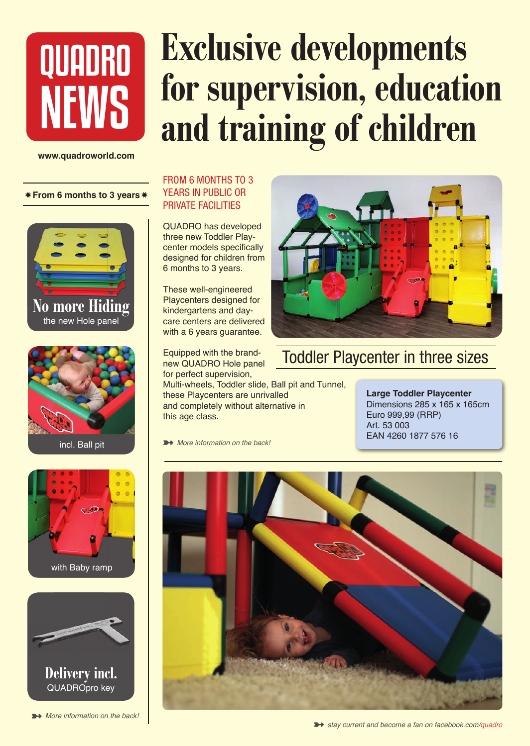# QUADRO **NEWS**

### Exclusive developments for supervision, education and training of children

**www.quadroworld.com**

#### ✸ **From 6 months to 3 years** ✸











Delivery incl. QUADROpro key

#### FROM 6 MONTHS TO 3 YEARS IN PUBLIC OR PRIVATE FACILITIES

QUADRO has developed three new Toddler Playcenter models specifically designed for children from 6 months to 3 years.

These well-engineered Playcenters designed for kindergartens and daycare centers are delivered with a 6 years guarantee.

Equipped with the brandnew QUADRO Hole panel for perfect supervision,

Multi-wheels, Toddler slide, Ball pit and Tunnel, these Playcenters are unrivalled and completely without alternative in this age class.

**▶ More information on the back!** 



### Toddler Playcenter in three sizes

**Large Toddler Playcenter**  Dimensions 285 x 165 x 165cm Euro 999,99 (RRP) Art. 53 003 EAN 4260 1877 576 16